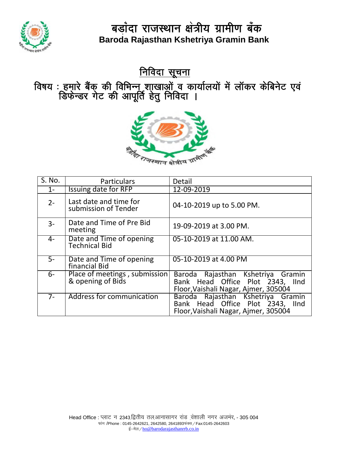

<u>निविदा सूचना</u>

विषय : हमारे बैंक् की विभिन्नू शाखाओं व कार्यालयों में लॉकर केबिनेट एवं डिफेन्डर गेट की आपूर्ति हेतु निविदा ।



| S. No. | <b>Particulars</b>                                 | Detail                                                                                                        |
|--------|----------------------------------------------------|---------------------------------------------------------------------------------------------------------------|
| $1 -$  | Issuing date for RFP                               | 12-09-2019                                                                                                    |
| $2 -$  | Last date and time for<br>submission of Tender     | 04-10-2019 up to 5.00 PM.                                                                                     |
| $3-$   | Date and Time of Pre Bid<br>meeting                | 19-09-2019 at 3.00 PM.                                                                                        |
| 4-     | Date and Time of opening<br><b>Technical Bid</b>   | 05-10-2019 at 11.00 AM.                                                                                       |
| $5-$   | Date and Time of opening<br>financial Bid          | 05-10-2019 at 4.00 PM                                                                                         |
| $6-$   | Place of meetings, submission<br>& opening of Bids | Baroda Rajasthan Kshetriya Gramin<br>Bank Head Office Plot 2343, IInd<br>Floor, Vaishali Nagar, Ajmer, 305004 |
| $7-$   | Address for communication                          | Baroda Rajasthan Kshetriya Gramin<br>Bank Head Office Plot 2343, IInd<br>Floor, Vaishali Nagar, Ajmer, 305004 |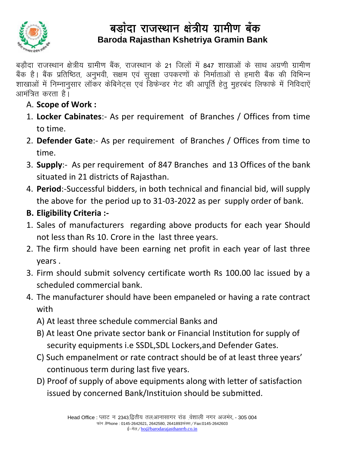

.<br>बैंक है। बैंक प्रतिष्ठित, अनुभवी, सक्षम एवं सुरक्षा उपकरणों के निर्माताओं से हमारी बैंक की विभिन्न बड़ौदा राजस्थान क्षेत्रीय ग्रामीण बैंक, राजस्थान के 21 जिलों में 847 शाखाओं के साथ अग्रणी ग्रामीण शाखाओं में निम्नानुसार लॉकर केबिनेट्स एवं डिफेन्डर गेट की आपूर्ति हेतु मुहरबंद लिफाफे में निविदाऐं आमंत्रित करता है।

- A. **Scope of Work :**
- 1. **Locker Cabinates**:- As per requirement of Branches / Offices from time to time.
- 2. **Defender Gate**:- As per requirement of Branches / Offices from time to time.
- 3. **Supply**:- As per requirement of 847 Branches and 13 Offices of the bank situated in 21 districts of Rajasthan.
- 4. **Period**:-Successful bidders, in both technical and financial bid, will supply the above for the period up to 31-03-2022 as per supply order of bank.

### **B. Eligibility Criteria :-**

- 1. Sales of manufacturers regarding above products for each year Should not less than Rs 10. Crore in the last three years.
- 2. The firm should have been earning net profit in each year of last three years .
- 3. Firm should submit solvency certificate worth Rs 100.00 lac issued by a scheduled commercial bank.
- 4. The manufacturer should have been empaneled or having a rate contract with
	- A) At least three schedule commercial Banks and
	- B) At least One private sector bank or Financial Institution for supply of security equipments i.e SSDL,SDL Lockers,and Defender Gates.
	- C) Such empanelment or rate contract should be of at least three years' continuous term during last five years.
	- D) Proof of supply of above equipments along with letter of satisfaction issued by concerned Bank/Instituion should be submitted.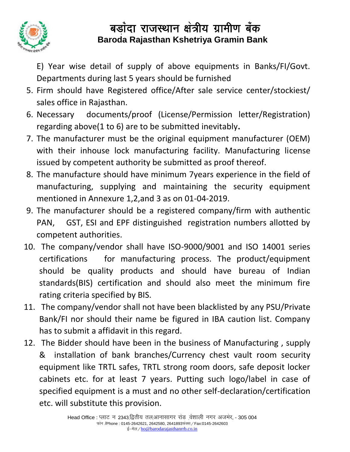

E) Year wise detail of supply of above equipments in Banks/FI/Govt. Departments during last 5 years should be furnished

- 5. Firm should have Registered office/After sale service center/stockiest/ sales office in Rajasthan.
- 6. Necessary documents/proof (License/Permission letter/Registration) regarding above(1 to 6) are to be submitted inevitably**.**
- 7. The manufacturer must be the original equipment manufacturer (OEM) with their inhouse lock manufacturing facility. Manufacturing license issued by competent authority be submitted as proof thereof.
- 8. The manufacture should have minimum 7years experience in the field of manufacturing, supplying and maintaining the security equipment mentioned in Annexure 1,2,and 3 as on 01-04-2019.
- 9. The manufacturer should be a registered company/firm with authentic PAN, GST, ESI and EPF distinguished registration numbers allotted by competent authorities.
- 10. The company/vendor shall have ISO-9000/9001 and ISO 14001 series certifications for manufacturing process. The product/equipment should be quality products and should have bureau of Indian standards(BIS) certification and should also meet the minimum fire rating criteria specified by BIS.
- 11. The company/vendor shall not have been blacklisted by any PSU/Private Bank/FI nor should their name be figured in IBA caution list. Company has to submit a affidavit in this regard.
- 12. The Bidder should have been in the business of Manufacturing , supply & installation of bank branches/Currency chest vault room security equipment like TRTL safes, TRTL strong room doors, safe deposit locker cabinets etc. for at least 7 years. Putting such logo/label in case of specified equipment is a must and no other self-declaration/certification etc. will substitute this provision.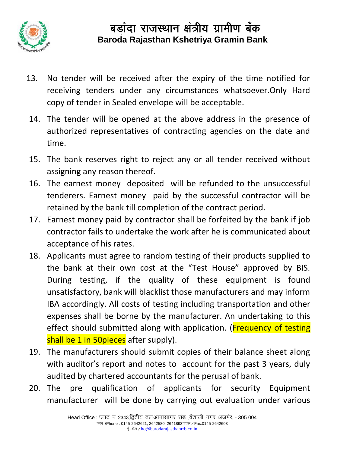

- 13. No tender will be received after the expiry of the time notified for receiving tenders under any circumstances whatsoever.Only Hard copy of tender in Sealed envelope will be acceptable.
- 14. The tender will be opened at the above address in the presence of authorized representatives of contracting agencies on the date and time.
- 15. The bank reserves right to reject any or all tender received without assigning any reason thereof.
- 16. The earnest money deposited will be refunded to the unsuccessful tenderers. Earnest money paid by the successful contractor will be retained by the bank till completion of the contract period.
- 17. Earnest money paid by contractor shall be forfeited by the bank if job contractor fails to undertake the work after he is communicated about acceptance of his rates.
- 18. Applicants must agree to random testing of their products supplied to the bank at their own cost at the "Test House" approved by BIS. During testing, if the quality of these equipment is found unsatisfactory, bank will blacklist those manufacturers and may inform IBA accordingly. All costs of testing including transportation and other expenses shall be borne by the manufacturer. An undertaking to this effect should submitted along with application. (Frequency of testing shall be 1 in 50pieces after supply).
- 19. The manufacturers should submit copies of their balance sheet along with auditor's report and notes to account for the past 3 years, duly audited by chartered accountants for the perusal of bank.
- 20. The pre qualification of applicants for security Equipment manufacturer will be done by carrying out evaluation under various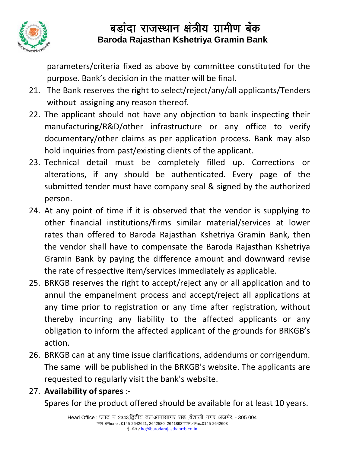

parameters/criteria fixed as above by committee constituted for the purpose. Bank's decision in the matter will be final.

- 21. The Bank reserves the right to select/reject/any/all applicants/Tenders without assigning any reason thereof.
- 22. The applicant should not have any objection to bank inspecting their manufacturing/R&D/other infrastructure or any office to verify documentary/other claims as per application process. Bank may also hold inquiries from past/existing clients of the applicant.
- 23. Technical detail must be completely filled up. Corrections or alterations, if any should be authenticated. Every page of the submitted tender must have company seal & signed by the authorized person.
- 24. At any point of time if it is observed that the vendor is supplying to other financial institutions/firms similar material/services at lower rates than offered to Baroda Rajasthan Kshetriya Gramin Bank, then the vendor shall have to compensate the Baroda Rajasthan Kshetriya Gramin Bank by paying the difference amount and downward revise the rate of respective item/services immediately as applicable.
- 25. BRKGB reserves the right to accept/reject any or all application and to annul the empanelment process and accept/reject all applications at any time prior to registration or any time after registration, without thereby incurring any liability to the affected applicants or any obligation to inform the affected applicant of the grounds for BRKGB's action.
- 26. BRKGB can at any time issue clarifications, addendums or corrigendum. The same will be published in the BRKGB's website. The applicants are requested to regularly visit the bank's website.

### 27. **Availability of spares** :-

Spares for the product offered should be available for at least 10 years.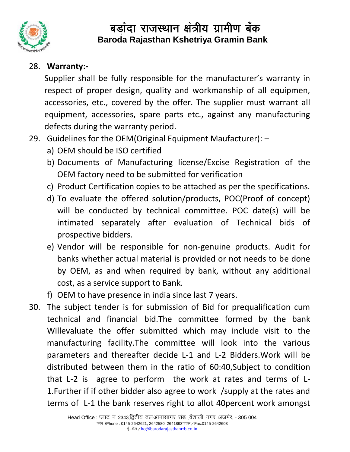

#### 28. **Warranty:-**

Supplier shall be fully responsible for the manufacturer's warranty in respect of proper design, quality and workmanship of all equipmen, accessories, etc., covered by the offer. The supplier must warrant all equipment, accessories, spare parts etc., against any manufacturing defects during the warranty period.

- 29. Guidelines for the OEM(Original Equipment Maufacturer):
	- a) OEM should be ISO certified
	- b) Documents of Manufacturing license/Excise Registration of the OEM factory need to be submitted for verification
	- c) Product Certification copies to be attached as per the specifications.
	- d) To evaluate the offered solution/products, POC(Proof of concept) will be conducted by technical committee. POC date(s) will be intimated separately after evaluation of Technical bids of prospective bidders.
	- e) Vendor will be responsible for non-genuine products. Audit for banks whether actual material is provided or not needs to be done by OEM, as and when required by bank, without any additional cost, as a service support to Bank.
	- f) OEM to have presence in india since last 7 years.
- 30. The subject tender is for submission of Bid for prequalification cum technical and financial bid.The committee formed by the bank Willevaluate the offer submitted which may include visit to the manufacturing facility.The committee will look into the various parameters and thereafter decide L-1 and L-2 Bidders.Work will be distributed between them in the ratio of 60:40,Subject to condition that L-2 is agree to perform the work at rates and terms of L-1.Further if if other bidder also agree to work /supply at the rates and terms of L-1 the bank reserves right to allot 40percent work amongst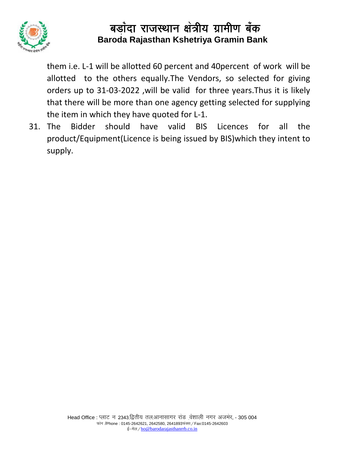

them i.e. L-1 will be allotted 60 percent and 40percent of work will be allotted to the others equally.The Vendors, so selected for giving orders up to 31-03-2022 ,will be valid for three years.Thus it is likely that there will be more than one agency getting selected for supplying the item in which they have quoted for L-1.

31. The Bidder should have valid BIS Licences for all the product/Equipment(Licence is being issued by BIS)which they intent to supply.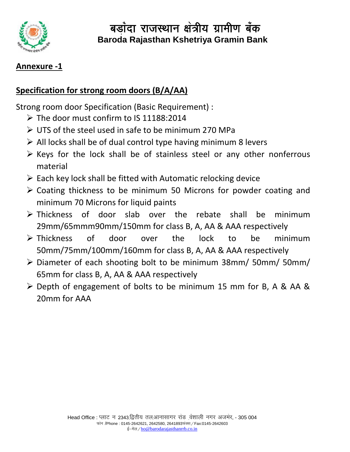

#### **Annexure -1**

#### **Specification for strong room doors (B/A/AA)**

Strong room door Specification (Basic Requirement) :

- $\triangleright$  The door must confirm to IS 11188:2014
- UTS of the steel used in safe to be minimum 270 MPa
- $\triangleright$  All locks shall be of dual control type having minimum 8 levers
- $\triangleright$  Keys for the lock shall be of stainless steel or any other nonferrous material
- $\triangleright$  Each key lock shall be fitted with Automatic relocking device
- Coating thickness to be minimum 50 Microns for powder coating and minimum 70 Microns for liquid paints
- $\triangleright$  Thickness of door slab over the rebate shall be minimum 29mm/65mmm90mm/150mm for class B, A, AA & AAA respectively
- Thickness of door over the lock to be minimum 50mm/75mm/100mm/160mm for class B, A, AA & AAA respectively
- Diameter of each shooting bolt to be minimum 38mm/ 50mm/ 50mm/ 65mm for class B, A, AA & AAA respectively
- ▶ Depth of engagement of bolts to be minimum 15 mm for B, A & AA & 20mm for AAA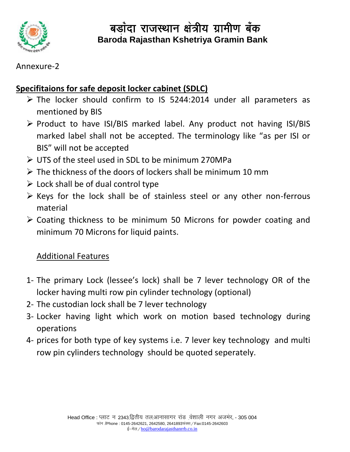

#### Annexure-2

### **Specifitaions for safe deposit locker cabinet (SDLC)**

- $\triangleright$  The locker should confirm to IS 5244:2014 under all parameters as mentioned by BIS
- $\triangleright$  Product to have ISI/BIS marked label. Any product not having ISI/BIS marked label shall not be accepted. The terminology like "as per ISI or BIS" will not be accepted
- UTS of the steel used in SDL to be minimum 270MPa
- $\triangleright$  The thickness of the doors of lockers shall be minimum 10 mm
- $\triangleright$  Lock shall be of dual control type
- $\triangleright$  Keys for the lock shall be of stainless steel or any other non-ferrous material
- Coating thickness to be minimum 50 Microns for powder coating and minimum 70 Microns for liquid paints.

### Additional Features

- 1- The primary Lock (lessee's lock) shall be 7 lever technology OR of the locker having multi row pin cylinder technology (optional)
- 2- The custodian lock shall be 7 lever technology
- 3- Locker having light which work on motion based technology during operations
- 4- prices for both type of key systems i.e. 7 lever key technology and multi row pin cylinders technology should be quoted seperately.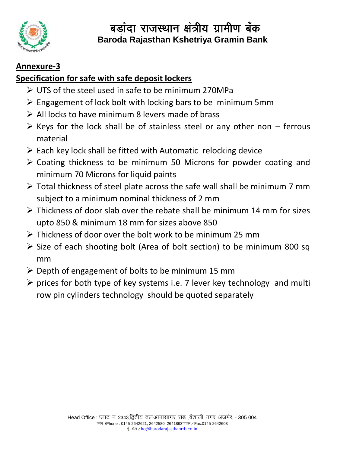

### **Annexure-3**

### **Specification for safe with safe deposit lockers**

- UTS of the steel used in safe to be minimum 270MPa
- $\triangleright$  Engagement of lock bolt with locking bars to be minimum 5mm
- $\triangleright$  All locks to have minimum 8 levers made of brass
- $\triangleright$  Keys for the lock shall be of stainless steel or any other non ferrous material
- $\triangleright$  Each key lock shall be fitted with Automatic relocking device
- Coating thickness to be minimum 50 Microns for powder coating and minimum 70 Microns for liquid paints
- Total thickness of steel plate across the safe wall shall be minimum 7 mm subject to a minimum nominal thickness of 2 mm
- $\triangleright$  Thickness of door slab over the rebate shall be minimum 14 mm for sizes upto 850 & minimum 18 mm for sizes above 850
- $\triangleright$  Thickness of door over the bolt work to be minimum 25 mm
- $\triangleright$  Size of each shooting bolt (Area of bolt section) to be minimum 800 sq mm
- $\triangleright$  Depth of engagement of bolts to be minimum 15 mm
- $\triangleright$  prices for both type of key systems i.e. 7 lever key technology and multi row pin cylinders technology should be quoted separately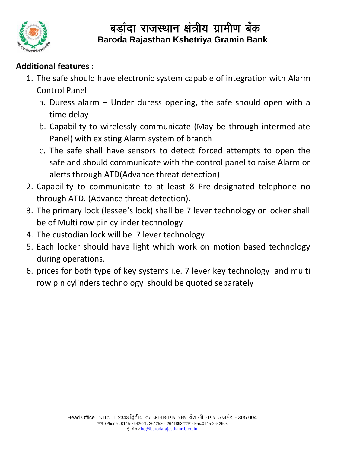

### **Additional features :**

- 1. The safe should have electronic system capable of integration with Alarm Control Panel
	- a. Duress alarm Under duress opening, the safe should open with a time delay
	- b. Capability to wirelessly communicate (May be through intermediate Panel) with existing Alarm system of branch
	- c. The safe shall have sensors to detect forced attempts to open the safe and should communicate with the control panel to raise Alarm or alerts through ATD(Advance threat detection)
- 2. Capability to communicate to at least 8 Pre-designated telephone no through ATD. (Advance threat detection).
- 3. The primary lock (lessee's lock) shall be 7 lever technology or locker shall be of Multi row pin cylinder technology
- 4. The custodian lock will be 7 lever technology
- 5. Each locker should have light which work on motion based technology during operations.
- 6. prices for both type of key systems i.e. 7 lever key technology and multi row pin cylinders technology should be quoted separately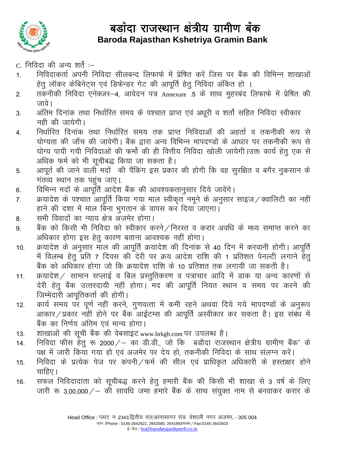

C. निविदा की अन्य शर्ते :-

- निविदाकर्ता अपनी निविदा सीलबन्द लिफाफे में प्रेषित करें जिस पर बैंक की विभिन्न शाखाओं  $1<sub>1</sub>$ हेतु लॉकर केबिनेट्स एवं डिफेन्डर गेट की आपूर्ति हेतु निविदा अंकित हो ।
- तकनीकी निविदा एनेक्जर-4, आवेदन पत्र Annexure .5 के साथ मुहरबंद लिफाफे में प्रेषित की  $2.$ जावे।
- अंतिम दिनांक तथा निर्धारित समय के पश्चात प्राप्त एवं अधुरी व शर्तो सहित निविदा स्वीकार  $3<sub>1</sub>$ नही की जायेगी।
- निर्धारित दिनांक तथा निर्धारित समय तक प्राप्त निविदाओं की अहर्ता व तकनीकी रूप से  $4.$ योग्यता की जाँच की जावेगी। बैंक द्वारा अन्य विभिन्न मापदण्डों के आधार पर तकनीकी रूप से योग्य पायी गयी निविदाओं की फर्मो की ही वित्तीय निविदा खोली जायेगी।उक्त कार्य हेतु एक से अधिक फर्म को भी सुचीबद्ध किया जा सकता है।
- आपूर्त की जाने वाली मदों की पैंकिंग इस प्रकार की होगी कि वह सुरक्षित व बगैर नुकसान के 5. गंतव्य स्थान तक पहुंच जाए।
- विभिन्न मदों के आपूर्ति आदेश बैंक की आवश्यकतानुसार दिये जावेंगे। 6.
- क्रयादेश के पश्चात आपूर्ति किया गया माल स्वीकृत नमूने के अनुसार साइज / क्वालिटी का नहीं  $7.$ हाने की दशा में माल बिना भुगतान के वापस कर दिया जाएगा।
- सभी विवादों का न्याय क्षेत्र अजमेर होगा। 8.
- बैंक को किसी भी निविदा को स्वीकार करने / निरस्त व करार अवधि के मध्य समाप्त करने का 9. अधिकार होगा इस हेतू कारण बताना आवश्यक नहीं होगा।
- क्रयादेश के अनुसार माल की आपूर्ति क्रयादेश की दिनांक से 40 दिन में करवानी होगी। आपूर्ति  $10.$ में विलम्ब हेतु प्रति 7 दिवस की देरी पर क्रय आदेश राशि की 1 प्रतिशत पेनल्टी लगाने हेतु बैंक को अधिकार होगा जो कि क्रयादेश राशि के 10 प्रतिशत तक लगायी जा सकती है।
- क्रयादेश / सामान सप्लाई व बिल प्रस्तुतिकरण व पत्राचार आदि में डाक या अन्य कारणों से  $11.$ देरी हेतु बैंक उत्तरदायी नहीं होगा। मद की आपूर्ति नियत स्थान व समय पर करने की जिम्मेदारी आपूतिकर्ता की होगी।
- कार्य समय पर पूर्ण नहीं करने, गुणवत्ता में कमी रहने अथवा दिये गये मापदण्डों के अनुरूप  $12.$ आकार / प्रकार नहीं होने पर बैंक आईटम्स की आपूर्ति अस्वीकार कर सकता है। इस संबंध में बैंक का निर्णय अंतिम एवं मान्य होगा।
- शाखाओं की सूची बैंक की वेबसाइट www.brkgb.com पर उपलब्ध है।  $13.$
- निविदा फीस हेतु रू 2000 / का डी.डी., जो कि बडौदा राजस्थान क्षेत्रीय ग्रामीण बैंक" के  $14.$ पक्ष में जारी किया गया हो एवं अजमेर पर देय हो, तकनीकी निविदा के साथ संलग्न करें।
- निविदा के प्रत्येक पेज पर कंपनी / फर्म की सील एवं प्राधिकृत अधिकारी के हस्ताक्षर होने 15. चाहिए।
- सफल निविदादाता को सूचीबद्ध करने हेतु हमारी बैंक की किसी भी शाखा से 3 वर्ष के लिए 16. जारी रू 3,00,000 / – की सावधि जमा हुमारे बैंक के साथ संयुक्त नाम से बनवाकर करार के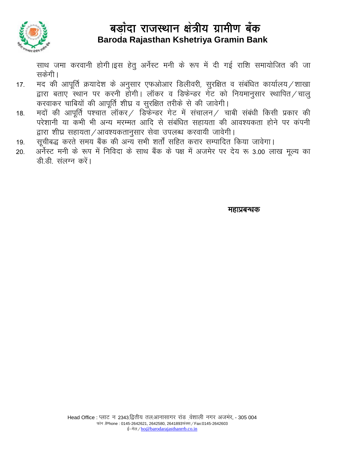

साथ जमा करवानी होगी।इस हेतु अर्नेस्ट मनी के रूप में दी गई राशि समायोजित की जा सकेंगी।

- मद की आपूर्ति क्रयादेश के अनुसार एफओआर डिलीवरी, सुरक्षित व संबंधित कार्यालय /शाखा  $17.$ द्वारा बताए स्थान पर करनी होगी। लॉकर व डिफेन्डर गेट को नियमानुसार स्थापित/चाल् करवाकर चाबियों की आपूर्ति शीघ्र व सुरक्षित तरीके से की जावेगी।
- मदों की आपूर्ति पश्चात लॉकर / डिफेन्डर गेट में संचालन / चाबी संबंधी किसी प्रकार की 18. परेशानी या कंभी भी अन्य मरम्मत आदि से संबंधित सहायता की आवश्यकता होने पर कंपनी द्वारा शीघ्र सहायता / आवश्यकतानुसार सेवा उपलब्ध करवायी जावेगी।
- सूचीबद्ध करते समय बैंक की अन्य सभी शर्तों सहित करार सम्पादित किया जावेगा। 19.
- अर्नेस्ट मनी के रूप में निविदा के साथ बैंक के पक्ष में अजमेर पर देय रू 3.00 लाख मूल्य का 20. डी डी संलग्न करें।

महाप्रबन्धक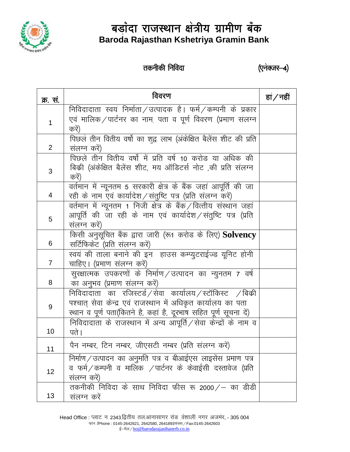

### तकनीकी निविदा

(एनेक्जर-4)

| <i>क्र.</i> सं. | विवरण                                                                                                                                                                                            | हां $/$ नहीं |
|-----------------|--------------------------------------------------------------------------------------------------------------------------------------------------------------------------------------------------|--------------|
| 1               | निविदादाता स्वयं निर्माता / उत्पादक है। फर्म / कम्पनी के प्रकार<br>एवं मालिक ⁄ पार्टनर का नाम पता व पूर्ण विवरण (प्रमाण संलग्न<br>करें)                                                          |              |
| 2               | पिछले तीन वितीय वर्षो का शुद्व लाभ (अंकेक्षित बैलेंस शीट की प्रति<br>संलग्न करें)                                                                                                                |              |
| 3               | पिछले तीन वितीय वर्षो में प्रति वर्ष 10 करोड या अधिक की<br>बिक्री (अंकेक्षित बैलेंस शीट, मय ऑडिटर्स नोट ,की प्रति संलग्न<br>करें)                                                                |              |
| 4               | वर्तमान में न्यूनतम 5 सरकारी क्षेत्र के बैंक जहां आपूर्ति की जा<br>रही के नाम एवं कार्यादेश/संतुष्टि पत्र (प्रति संलग्न करें)                                                                    |              |
| 5               | वर्तमान में न्यूनतम 1 निजी क्षेत्र के बैंक / वित्तीय संस्थान जहां<br>आपूर्ति की जा रही के नाम एवं कार्यादेश ⁄ संतुष्टि पत्र (प्रति<br>संलग्न करें)                                               |              |
| 6               | किसी अनुसूचित बैंक द्वारा जारी (रू1 करोड के लिए) <b>Solvency</b><br>सर्टिफिकेट (प्रति संलग्न करें)                                                                                               |              |
| $\overline{7}$  | स्वयं की ताला बनाने की इन) हाउस कम्प्युटराईज्ड यूनिट होनी<br>चाहिए। (प्रमाण संलग्न करें)                                                                                                         |              |
| 8               | सुरक्षात्मक उपकरणों के निर्माण / उत्पादन का न्युनतम 7 वर्ष<br>का अनुभव (प्रमाण संलग्न करें)                                                                                                      |              |
| 9               | निविदादाता का रजिस्टर्ड / सेवा कार्यालय / स्टॉकिस्ट /बिक्री<br>पश्चात् सेवा केन्द्र एवं राजस्थान में अधिकृत कार्यालय का पता<br>स्थान व पूर्ण पता(कितने है, कहां है, दूरभाष सहित पूर्ण सूचना दें) |              |
| 10              | निविदादाता के राजस्थान में अन्य आपूर्ति / सेवा केन्द्रों के नाम व<br>पते ।                                                                                                                       |              |
| 11              | पैन नम्बर, टिन नम्बर, जीएसटी नम्बर (प्रति संलग्न करें)                                                                                                                                           |              |
| 12              | निर्माण / उत्पादन का अनुमति पत्र व बीआईएस लाइसेंस प्रमाण पत्र<br>व फर्म $\angle$ कम्पनी व मालिक $\angle$ पार्टनर के केवाईसी दस्तावेज (प्रति<br>संलग्न करें)                                      |              |
| 13              | तकनीकी निविदा के साथ निविदा फीस रू 2000 / – का डीडी<br>संलग्न करें                                                                                                                               |              |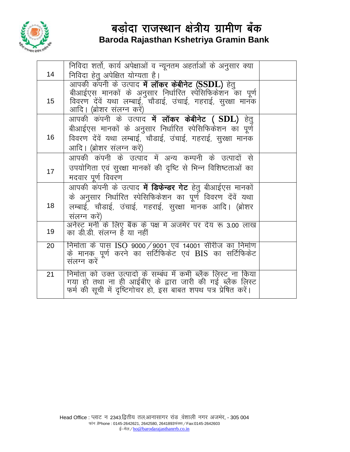

|    | निविदा शर्तो, कार्य अपेक्षाओं व न्यूनतम अहर्ताओं के अनुसार क्या                                                           |  |
|----|---------------------------------------------------------------------------------------------------------------------------|--|
| 14 | निविदा हेतू अपेक्षित योग्यता है।                                                                                          |  |
|    | आपकी कंपनी के उत्पाद में लॉकर केबीनेट (SSDL) हेतु                                                                         |  |
|    | बीआईएस मानकों के अनुसार निर्धारित स्पेसिफिकेशन का पूर्ण                                                                   |  |
| 15 | विवरण देंवें यथा लम्बाई,ॅचौडाई, उंचाई, गहराई, सुरक्षा मानॅक                                                               |  |
|    | आदि। (ब्रोशर संलग्न करें)                                                                                                 |  |
|    | आपकी कंपनी के उत्पाद <b>में लॉकर केबीनेट ( SDL)</b> हेतु                                                                  |  |
|    | बीआईएस मानकों के अनुसार निर्धारित स्पेसिफिकेशन का पूर्ण                                                                   |  |
| 16 | विवरण देंवें यथा लम्बाई, चौडाई, उंचाई, गहराई, सुरक्षा मानक                                                                |  |
|    | आदि। (ब्रोशर संलग्न करें)                                                                                                 |  |
|    | आपकी कंपनी के उत्पाद में अन्य कम्पनी के उत्पादों से                                                                       |  |
| 17 | उपयोगिता एवं सुरक्षा मानकों की दृष्टि से भिन्न विशिष्टताओं का                                                             |  |
|    | मदवार पूर्ण विवरण                                                                                                         |  |
|    | आपकी कंपनी के उत्पाद <b>में डिफेन्डर गेट</b> हेतु बीआईएस मानकों                                                           |  |
|    | के अनुसार निर्धारित स्पेसिफिकेशन का पूर्ण विवरण देंवें यथा                                                                |  |
| 18 | लम्बाई, चौडाई, उंचाई, गहराई, सुरक्षा मानक आदि। (ब्रोशर                                                                    |  |
|    | संलग्न करें)                                                                                                              |  |
|    | अर्नेस्ट मनी के लिए बैंक के पक्ष में अजमेर पर देय रू 3.00 लाख                                                             |  |
| 19 | का डी.डी. संलग्न है या नहीं                                                                                               |  |
| 20 | निर्माता के पास ISO 9000/9001 एवं 14001 सीरीज का निर्माण                                                                  |  |
|    | के मानक पूर्ण करने का सर्टिफिकेट एवं BIS का सर्टिफिकेट                                                                    |  |
|    | संलग्न करें                                                                                                               |  |
|    |                                                                                                                           |  |
| 21 | निर्माता को उक्त उत्पादों के सम्बंध में कभी ब्लैक लिस्ट ना किया                                                           |  |
|    | गया हो तथा ना ही आईबीए के द्वारा जारी की गई ब्लैक लिस्ट<br>फर्म की सूची में दृष्टिगोचर हो, इस बाबत शपथ पत्र प्रेषित करें। |  |
|    |                                                                                                                           |  |